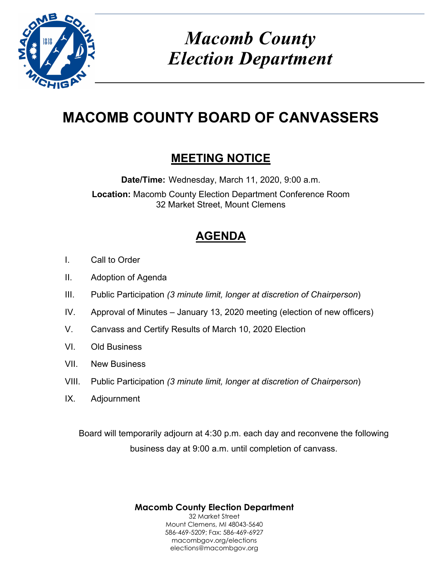

# *Macomb County Election Department*

# **MACOMB COUNTY BOARD OF CANVASSERS**

## **MEETING NOTICE**

**Date/Time:** Wednesday, March 11, 2020, 9:00 a.m. **Location:** Macomb County Election Department Conference Room 32 Market Street, Mount Clemens

## **AGENDA**

- I. Call to Order
- II. Adoption of Agenda
- III. Public Participation *(3 minute limit, longer at discretion of Chairperson*)
- IV. Approval of Minutes January 13, 2020 meeting (election of new officers)
- V. Canvass and Certify Results of March 10, 2020 Election
- VI. Old Business
- VII. New Business
- VIII. Public Participation *(3 minute limit, longer at discretion of Chairperson*)
- IX. Adjournment

Board will temporarily adjourn at 4:30 p.m. each day and reconvene the following business day at 9:00 a.m. until completion of canvass.

> **Macomb County Election Department** 32 Market Street Mount Clemens, MI 48043-5640 586-469-5209; Fax: 586-469-6927 macombgov.org/elections elections@macombgov.org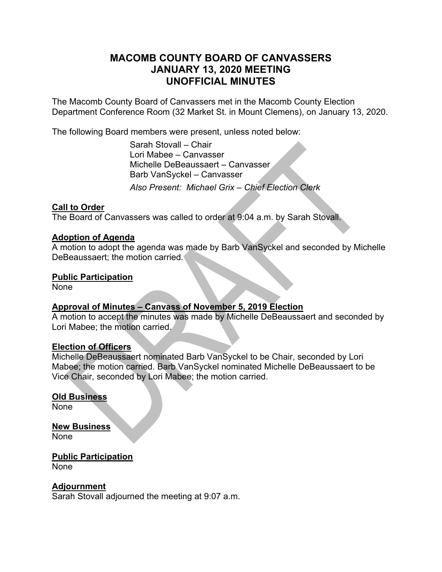### **MACOMB COUNTY BOARD OF CANVASSERS JANUARY 13, 2020 MEETING UNOFFICIAL MINUTES**

The Macomb County Board of Canvassers met in the Macomb County Election Department Conference Room (32 Market St. in Mount Clemens), on January 13, 2020.

The following Board members were present, unless noted below:

 Sarah Stovall – Chair Lori Mabee – Canvasser Michelle DeBeaussaert – Canvasser Barb VanSyckel – Canvasser *Also Present: Michael Grix – Chief Election Clerk* 

#### **Call to Order**

The Board of Canvassers was called to order at 9:04 a.m. by Sarah Stovall.

#### **Adoption of Agenda**

A motion to adopt the agenda was made by Barb VanSyckel and seconded by Michelle DeBeaussaert; the motion carried.

#### **Public Participation**

None

#### **Approval of Minutes – Canvass of November 5, 2019 Election**

A motion to accept the minutes was made by Michelle DeBeaussaert and seconded by Lori Mabee; the motion carried.

#### **Election of Officers**

Michelle DeBeaussaert nominated Barb VanSyckel to be Chair, seconded by Lori Mabee; the motion carried. Barb VanSyckel nominated Michelle DeBeaussaert to be Vice Chair, seconded by Lori Mabee; the motion carried.

#### **Old Business**

None

### **New Business**

None

**Public Participation**  None

**Adjournment**  Sarah Stovall adjourned the meeting at 9:07 a.m.